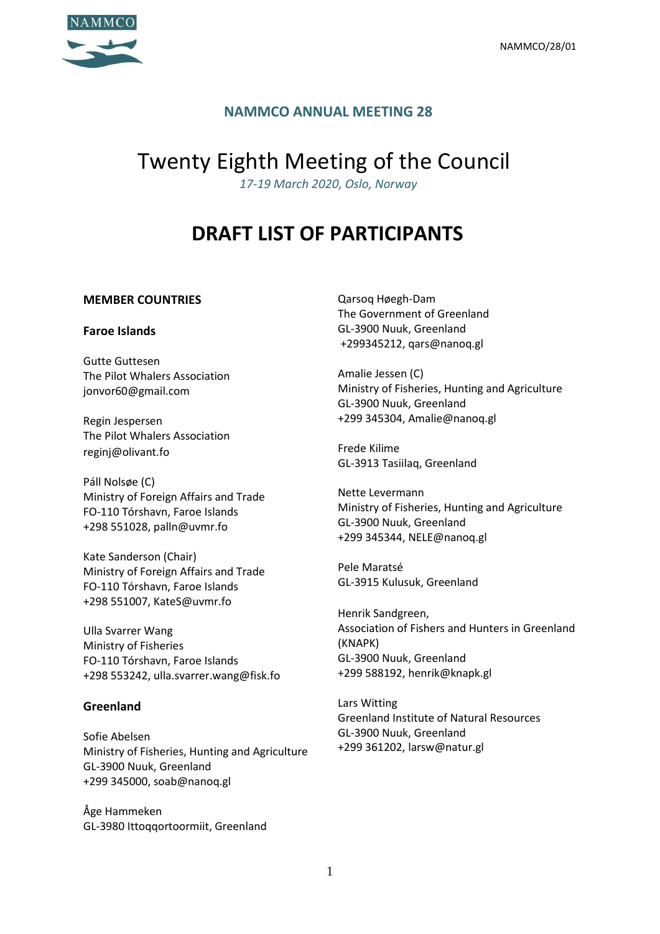

## **NAMMCO ANNUAL MEETING 28**

# Twenty Eighth Meeting of the Council

*17-19 March 2020, Oslo, Norway*

## **DRAFT LIST OF PARTICIPANTS**

#### **MEMBER COUNTRIES**

#### **Faroe Islands**

Gutte Guttesen The Pilot Whalers Association [jonvor60@gmail.com](mailto:jonvor60@gmail.com)

Regin Jespersen The Pilot Whalers Association [reginj@olivant.fo](mailto:reginj@olivant.fo)

Páll Nolsøe (C) Ministry of Foreign Affairs and Trade FO-110 Tórshavn, Faroe Islands +298 551028, palln@uvmr.fo

Kate Sanderson (Chair) Ministry of Foreign Affairs and Trade FO-110 Tórshavn, Faroe Islands +298 551007, KateS@uvmr.fo

Ulla Svarrer Wang Ministry of Fisheries FO-110 Tórshavn, Faroe Islands +298 553242, ulla.svarrer.wang@fisk.fo

#### **Greenland**

Sofie Abelsen Ministry of Fisheries, Hunting and Agriculture GL-3900 Nuuk, Greenland +299 345000, soab@nanoq.gl

Åge Hammeken GL-3980 Ittoqqortoormiit, Greenland Qarsoq Høegh-Dam The Government of Greenland GL-3900 Nuuk, Greenland +299345212, qars@nanoq.gl

Amalie Jessen (C) Ministry of Fisheries, Hunting and Agriculture GL-3900 Nuuk, Greenland +299 345304, Amalie@nanoq.gl

Frede Kilime GL-3913 Tasiilaq, Greenland

Nette Levermann Ministry of Fisheries, Hunting and Agriculture GL-3900 Nuuk, Greenland +299 345344, NELE@nanoq.gl

Pele Maratsé GL-3915 Kulusuk, Greenland

Henrik Sandgreen, Association of Fishers and Hunters in Greenland (KNAPK) GL-3900 Nuuk, Greenland +299 588192, henrik@knapk.gl

Lars Witting Greenland Institute of Natural Resources GL-3900 Nuuk, Greenland +299 361202, larsw@natur.gl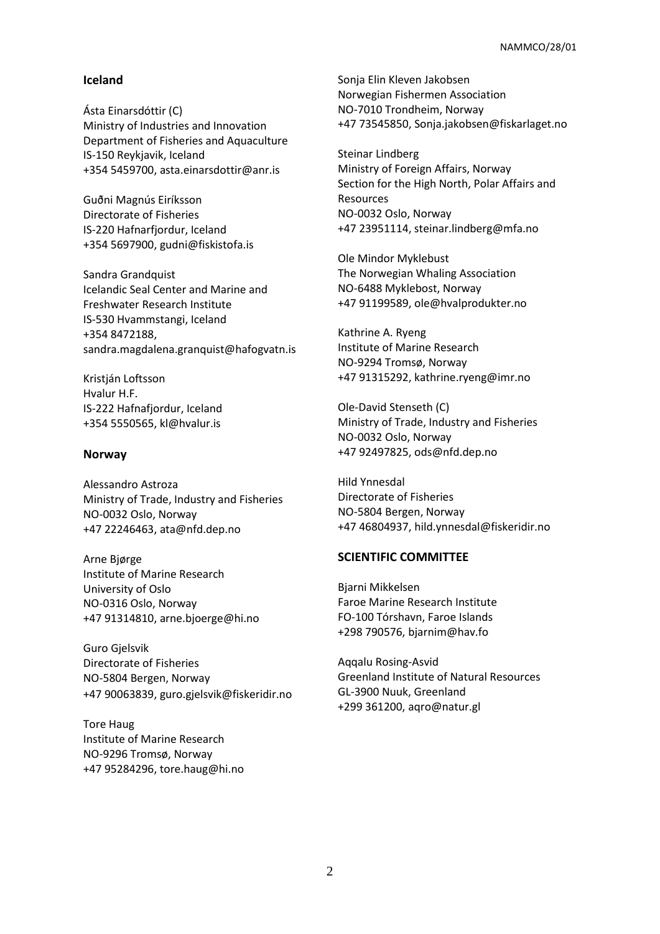#### **Iceland**

Ásta Einarsdóttir (C) Ministry of Industries and Innovation Department of Fisheries and Aquaculture IS-150 Reykjavik, Iceland +354 5459700, asta.einarsdottir@anr.is

Guðni Magnús Eiríksson Directorate of Fisheries IS-220 Hafnarfjordur, Iceland +354 5697900, [gudni@fiskistofa.is](mailto:gudni@fiskistofa.is)

Sandra Grandquist Icelandic Seal Center and Marine and Freshwater Research Institute IS-530 Hvammstangi, Iceland +354 8472188, [sandra.magdalena.granquist@hafogvatn.is](mailto:sandra.magdalena.granquist@hafogvatn.is)

Kristján Loftsson Hvalur H.F. IS-222 Hafnafjordur, Iceland +354 5550565, [kl@hvalur.is](mailto:kl@hvalur.is)

#### **Norway**

Alessandro Astroza Ministry of Trade, Industry and Fisheries NO-0032 Oslo, Norway +47 22246463, ata@nfd.dep.no

Arne Bjørge Institute of Marine Research University of Oslo NO-0316 Oslo, Norway +47 91314810, [arne.bjoerge@hi.no](mailto:arne.bjoerge@hi.no)

Guro Gjelsvik Directorate of Fisheries NO-5804 Bergen, Norway +47 90063839, [guro.gjelsvik@fiskeridir.no](mailto:guro.gjelsvik@fiskeridir.no)

Tore Haug Institute of Marine Research NO-9296 Tromsø, Norway +47 95284296, tore.haug@hi.no Sonja Elin Kleven Jakobsen Norwegian Fishermen Association NO-7010 Trondheim, Norway +47 73545850[, Sonja.jakobsen@fiskarlaget.no](mailto:Sonja.jakobsen@fiskarlaget.no)

Steinar Lindberg Ministry of Foreign Affairs, Norway Section for the High North, Polar Affairs and Resources NO-0032 Oslo, Norway +47 23951114, steinar.lindberg@mfa.no

Ole Mindor Myklebust The Norwegian Whaling Association NO-6488 Myklebost, Norway +47 91199589, ole@hvalprodukter.no

Kathrine A. Ryeng Institute of Marine Research NO-9294 Tromsø, Norway +47 91315292, [kathrine.ryeng@imr.no](mailto:kathrine.ryeng@imr.no)

Ole-David Stenseth (C) Ministry of Trade, Industry and Fisheries NO-0032 Oslo, Norway +47 92497825, [ods@nfd.dep.no](mailto:ods@nfd.dep.no)

Hild Ynnesdal Directorate of Fisheries NO-5804 Bergen, Norway +47 46804937, hild.ynnesdal@fiskeridir.no

#### **SCIENTIFIC COMMITTEE**

Bjarni Mikkelsen Faroe Marine Research Institute FO-100 Tórshavn, Faroe Islands +298 790576, [bjarnim@hav.fo](mailto:bjarnim@hav.fo)

Aqqalu Rosing-Asvid Greenland Institute of Natural Resources GL-3900 Nuuk, Greenland +299 361200, [aqro@natur.gl](mailto:aqro@natur.gl)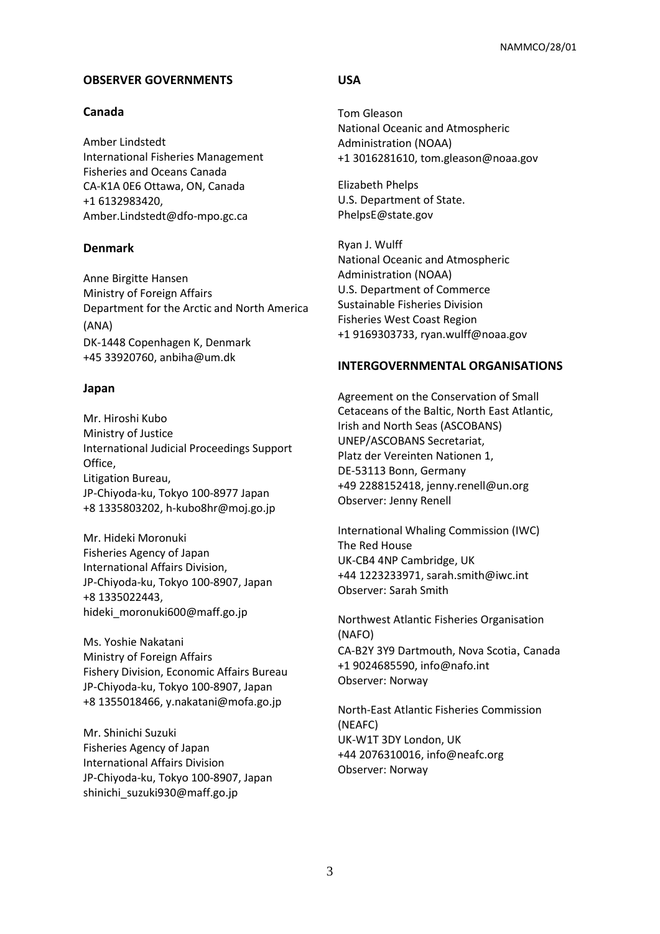#### **OBSERVER GOVERNMENTS**

#### **Canada**

Amber Lindstedt International Fisheries Management Fisheries and Oceans Canada CA-K1A 0E6 Ottawa, ON, Canada +1 6132983420, Amber.Lindstedt@dfo-mpo.gc.ca

## **Denmark**

Anne Birgitte Hansen Ministry of Foreign Affairs Department for the Arctic and North America (ANA) DK-1448 Copenhagen K, Denmark +45 33920760, anbiha@um.dk

#### **Japan**

Mr. Hiroshi Kubo Ministry of Justice International Judicial Proceedings Support Office, Litigation Bureau, JP-Chiyoda-ku, Tokyo 100-8977 Japan +8 1335803202, h-kubo8hr@moj.go.jp

Mr. Hideki Moronuki Fisheries Agency of Japan International Affairs Division, JP-Chiyoda-ku, Tokyo 100-8907, Japan +8 1335022443, hideki\_moronuki600@maff.go.jp

Ms. Yoshie Nakatani Ministry of Foreign Affairs Fishery Division, Economic Affairs Bureau JP-Chiyoda-ku, Tokyo 100-8907, Japan +8 1355018466, y.nakatani@mofa.go.jp

Mr. Shinichi Suzuki Fisheries Agency of Japan International Affairs Division JP-Chiyoda-ku, Tokyo 100-8907, Japan shinichi\_suzuki930@maff.go.jp

## **USA**

Tom Gleason National Oceanic and Atmospheric Administration (NOAA) +1 3016281610, tom.gleason@noaa.gov

Elizabeth Phelps U.S. Department of State. PhelpsE@state.gov

Ryan J. Wulff National Oceanic and Atmospheric Administration (NOAA) U.S. Department of Commerce Sustainable Fisheries Division Fisheries West Coast Region +1 9169303733, ryan.wulff@noaa.gov

#### **INTERGOVERNMENTAL ORGANISATIONS**

Agreement on the Conservation of Small Cetaceans of the Baltic, North East Atlantic, Irish and North Seas (ASCOBANS) UNEP/ASCOBANS Secretariat, Platz der Vereinten Nationen 1, DE-53113 Bonn, Germany +49 2288152418, [jenny.renell@un.org](mailto:jenny.renell@un.org) Observer: Jenny Renell

International Whaling Commission (IWC) The Red House UK-CB4 4NP Cambridge, UK +44 1223233971, sarah.smith@iwc.int Observer: Sarah Smith

Northwest Atlantic Fisheries Organisation (NAFO) CA-B2Y 3Y9 Dartmouth, Nova Scotia, Canada +1 9024685590, info@nafo.int Observer: Norway

North-East Atlantic Fisheries Commission (NEAFC) UK-W1T 3DY London, UK +44 2076310016, [info@neafc.org](mailto:info@neafc.org) Observer: Norway